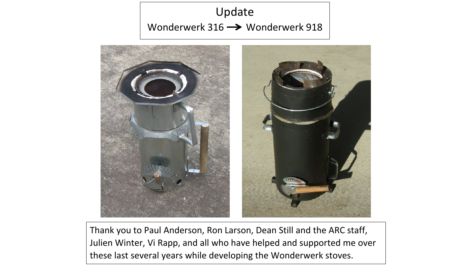## Update Wonderwerk 316  $\rightarrow$  Wonderwerk 918



Thank you to Paul Anderson, Ron Larson, Dean Still and the ARC staff, Julien Winter, Vi Rapp, and all who have helped and supported me over these last several years while developing the Wonderwerk stoves.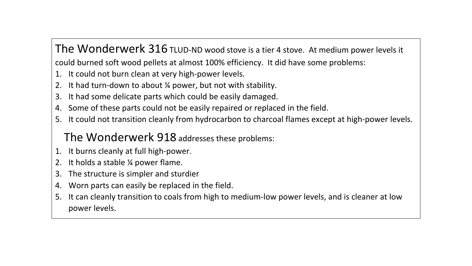The Wonderwerk 316 TLUD-ND wood stove is a tier 4 stove. At medium power levels it could burned soft wood pellets at almost 100% efficiency. It did have some problems:

- 1. It could not burn clean at very high-power levels.
- 2. It had turn-down to about ¼ power, but not with stability.
- 3. It had some delicate parts which could be easily damaged.
- 4. Some of these parts could not be easily repaired or replaced in the field.
- 5. It could not transition cleanly from hydrocarbon to charcoal flames except at high-power levels.

#### The Wonderwerk 918 addresses these problems:

- 1. It burns cleanly at full high-power.
- 2. It holds a stable ¼ power flame.
- 3. The structure is simpler and sturdier
- 4. Worn parts can easily be replaced in the field.
- 5. It can cleanly transition to coals from high to medium-low power levels, and is cleaner at low power levels.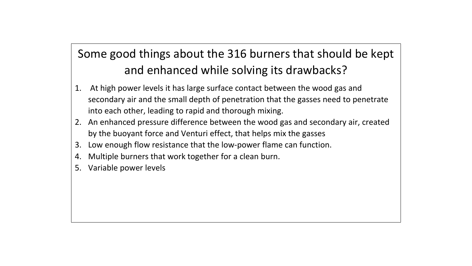## Some good things about the 316 burners that should be kept and enhanced while solving its drawbacks?

- 1. At high power levels it has large surface contact between the wood gas and secondary air and the small depth of penetration that the gasses need to penetrate into each other, leading to rapid and thorough mixing.
- 2. An enhanced pressure difference between the wood gas and secondary air, created by the buoyant force and Venturi effect, that helps mix the gasses
- 3. Low enough flow resistance that the low-power flame can function.
- 4. Multiple burners that work together for a clean burn.
- 5. Variable power levels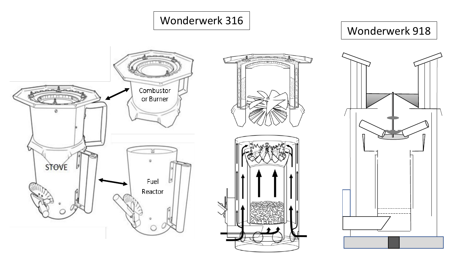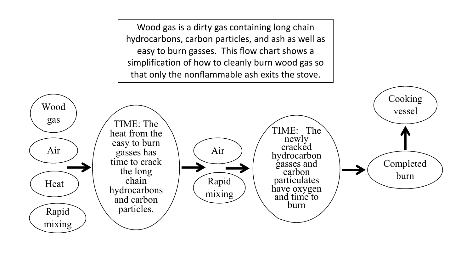Wood gas is a dirty gas containing long chain hydrocarbons, carbon particles, and ash as well as easy to burn gasses. This flow chart shows a simplification of how to cleanly burn wood gas so that only the nonflammable ash exits the stove.

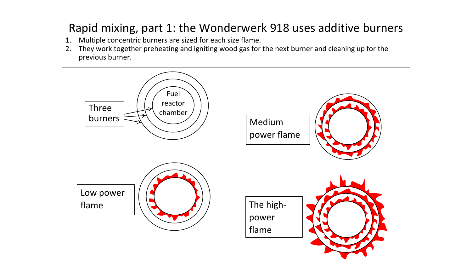### Rapid mixing, part 1: the Wonderwerk 918 uses additive burners

- 1. Multiple concentric burners are sized for each size flame.
- 2. They work together preheating and igniting wood gas for the next burner and cleaning up for the previous burner.

![](_page_5_Figure_3.jpeg)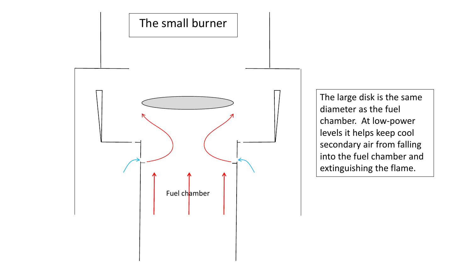![](_page_6_Figure_0.jpeg)

The large disk is the same diameter as the fuel chamber. At low-power levels it helps keep cool secondary air from falling into the fuel chamber and extinguishing the flame.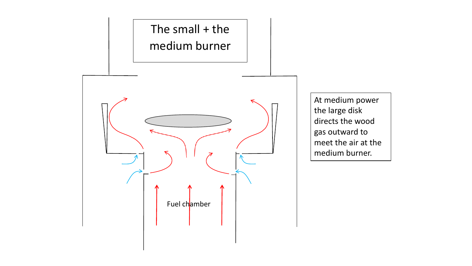![](_page_7_Figure_0.jpeg)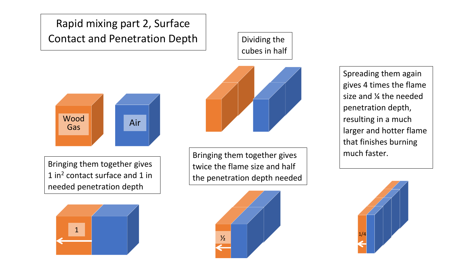## Rapid mixing part 2, Surface Contact and Penetration Depth

![](_page_8_Figure_1.jpeg)

Bringing them together gives 1 in2 contact surface and 1 in needed penetration depth

![](_page_8_Figure_3.jpeg)

Dividing the cubes in half

![](_page_8_Picture_5.jpeg)

Bringing them together gives twice the flame size and half the penetration depth needed

![](_page_8_Picture_7.jpeg)

Spreading them again gives 4 times the flame size and ¼ the needed penetration depth, resulting in a much larger and hotter flame that finishes burning much faster.

![](_page_8_Picture_9.jpeg)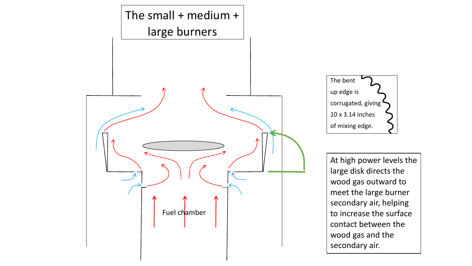![](_page_9_Figure_0.jpeg)

![](_page_9_Picture_1.jpeg)

At high power levels the large disk directs the wood gas outward to meet the large burner secondary air, helping to increase the surface contact between the wood gas and the secondary air.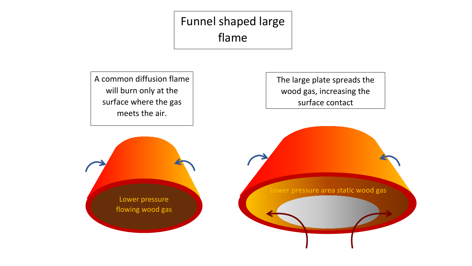# Funnel shaped large flame

A common diffusion flame will burn only at the surface where the gas meets the air.

The large plate spreads the wood gas, increasing the surface contact

Lower pressure flowing wood gas

Lower pressure area static wood gas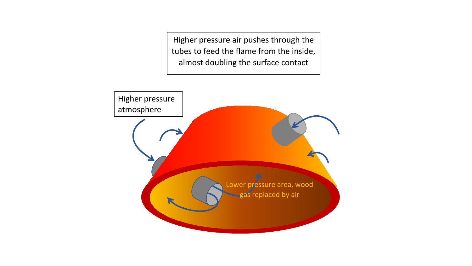Higher pressure air pushes through the tubes to feed the flame from the inside, almost doubling the surface contact

![](_page_11_Figure_1.jpeg)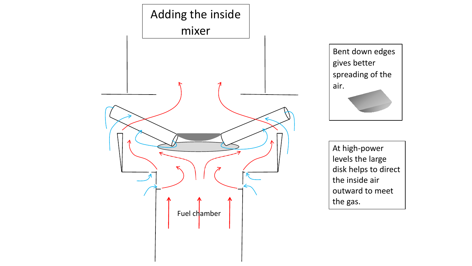![](_page_12_Figure_0.jpeg)

Bent down edges gives better spreading of the air.

At high-power levels the large disk helps to direct the inside air outward to meet the gas.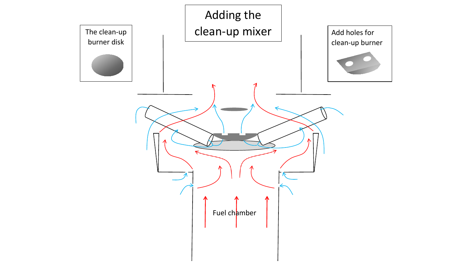![](_page_13_Figure_0.jpeg)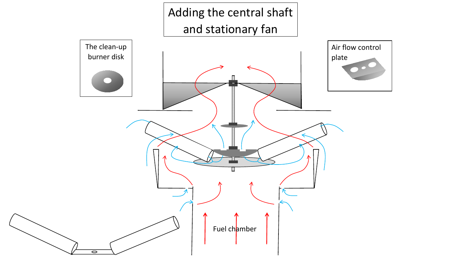![](_page_14_Figure_0.jpeg)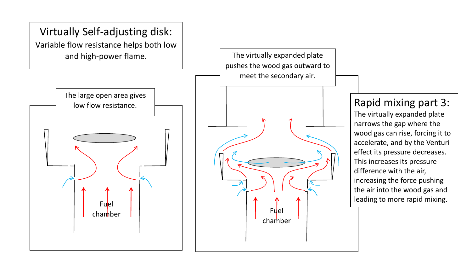![](_page_15_Figure_0.jpeg)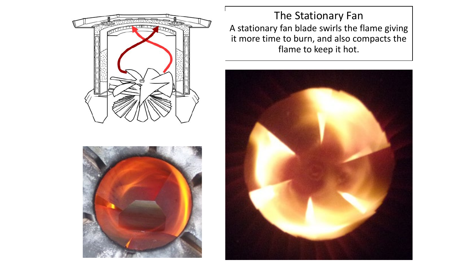![](_page_16_Picture_0.jpeg)

![](_page_16_Picture_1.jpeg)

The Stationary Fan A stationary fan blade swirls the flame giving it more time to burn, and also compacts the flame to keep it hot.

![](_page_16_Picture_3.jpeg)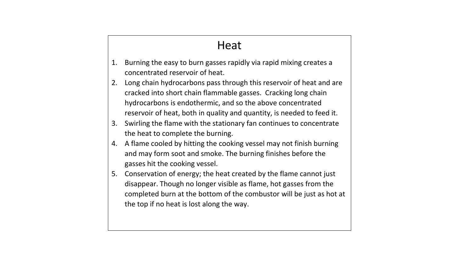#### Heat

- 1. Burning the easy to burn gasses rapidly via rapid mixing creates a concentrated reservoir of heat.
- 2. Long chain hydrocarbons pass through this reservoir of heat and are cracked into short chain flammable gasses. Cracking long chain hydrocarbons is endothermic, and so the above concentrated reservoir of heat, both in quality and quantity, is needed to feed it.
- 3. Swirling the flame with the stationary fan continues to concentrate the heat to complete the burning.
- 4. A flame cooled by hitting the cooking vessel may not finish burning and may form soot and smoke. The burning finishes before the gasses hit the cooking vessel.
- 5. Conservation of energy; the heat created by the flame cannot just disappear. Though no longer visible as flame, hot gasses from the completed burn at the bottom of the combustor will be just as hot at the top if no heat is lost along the way.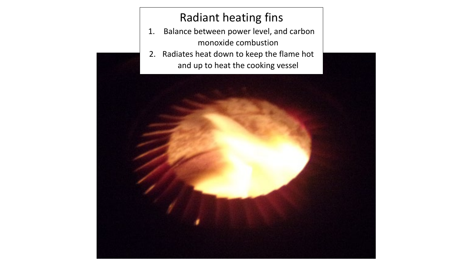#### Radiant heating fins

- 1. Balance between power level, and carbon monoxide combustion
- 2. Radiates heat down to keep the flame hot and up to heat the cooking vessel

![](_page_18_Picture_3.jpeg)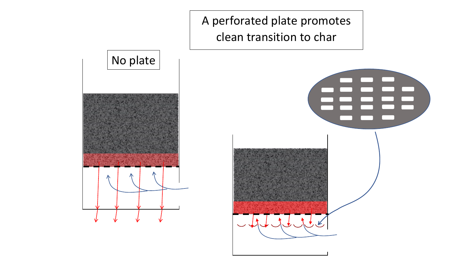![](_page_19_Picture_0.jpeg)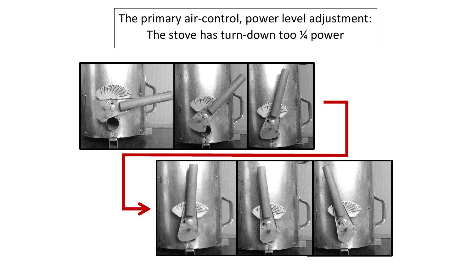The primary air-control, power level adjustment: The stove has turn-down too ¼ power

![](_page_20_Picture_1.jpeg)

![](_page_20_Picture_2.jpeg)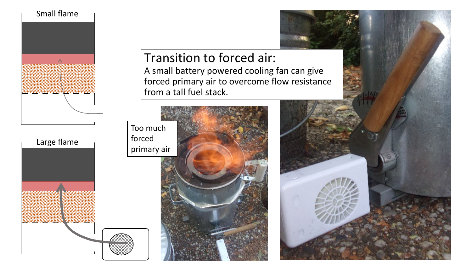![](_page_21_Picture_0.jpeg)

Transition to forced air: A small battery powered cooling fan can give forced primary air to overcome flow resistance from a tall fuel stack.

![](_page_21_Picture_2.jpeg)

![](_page_21_Picture_3.jpeg)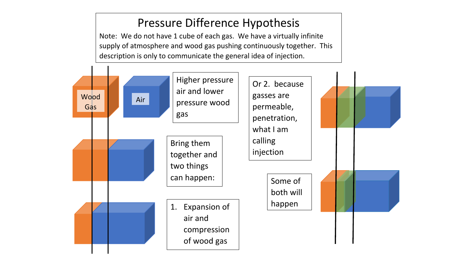#### Pressure Difference Hypothesis

Note: We do not have 1 cube of each gas. We have a virtually infinite supply of atmosphere and wood gas pushing continuously together. This description is only to communicate the general idea of injection.

![](_page_22_Figure_2.jpeg)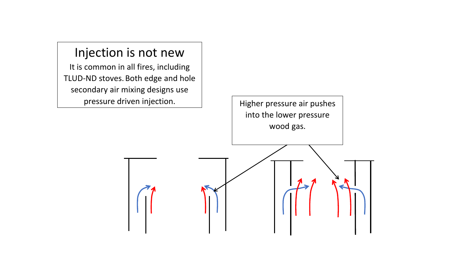![](_page_23_Figure_0.jpeg)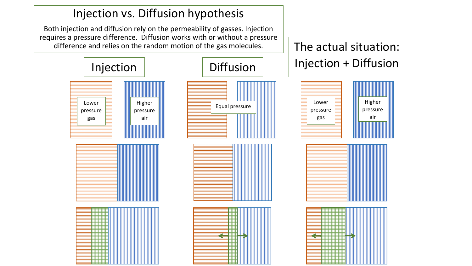![](_page_24_Figure_0.jpeg)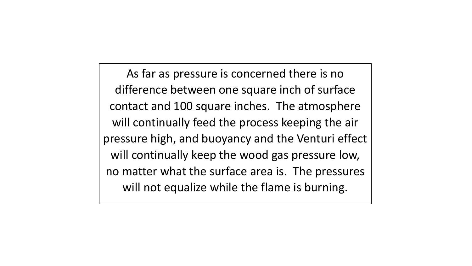As far as pressure is concerned there is no difference between one square inch of surface contact and 100 square inches. The atmosphere will continually feed the process keeping the air pressure high, and buoyancy and the Venturi effect will continually keep the wood gas pressure low, no matter what the surface area is. The pressures will not equalize while the flame is burning.